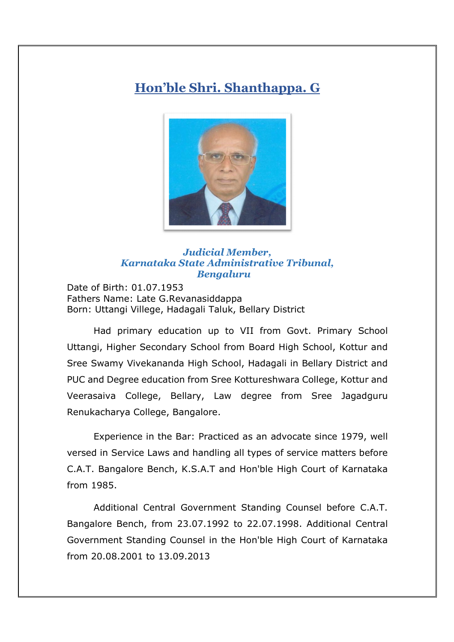## **Hon'ble Shri. Shanthappa. G**



## *Judicial Member, Karnataka State Administrative Tribunal, Bengaluru*

Date of Birth: 01.07.1953 Fathers Name: Late G.Revanasiddappa Born: Uttangi Villege, Hadagali Taluk, Bellary District

Had primary education up to VII from Govt. Primary School Uttangi, Higher Secondary School from Board High School, Kottur and Sree Swamy Vivekananda High School, Hadagali in Bellary District and PUC and Degree education from Sree Kottureshwara College, Kottur and Veerasaiva College, Bellary, Law degree from Sree Jagadguru Renukacharya College, Bangalore.

Experience in the Bar: Practiced as an advocate since 1979, well versed in Service Laws and handling all types of service matters before C.A.T. Bangalore Bench, K.S.A.T and Hon'ble High Court of Karnataka from 1985.

Additional Central Government Standing Counsel before C.A.T. Bangalore Bench, from 23.07.1992 to 22.07.1998. Additional Central Government Standing Counsel in the Hon'ble High Court of Karnataka from 20.08.2001 to 13.09.2013